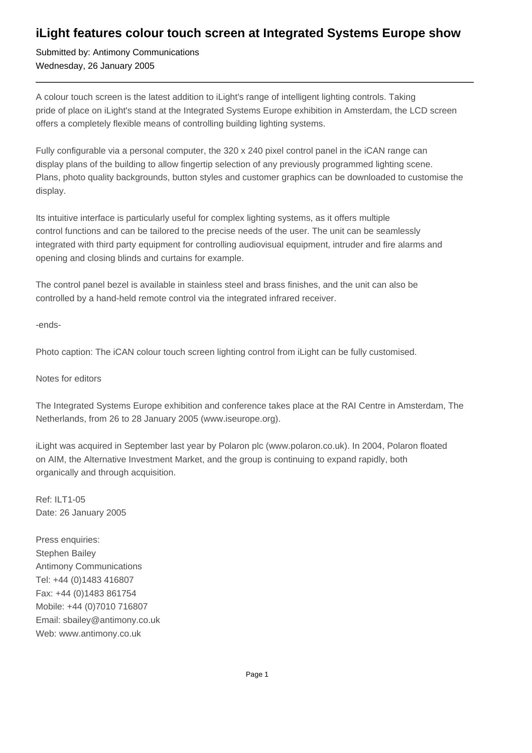## **iLight features colour touch screen at Integrated Systems Europe show**

Submitted by: Antimony Communications Wednesday, 26 January 2005

A colour touch screen is the latest addition to iLight's range of intelligent lighting controls. Taking pride of place on iLight's stand at the Integrated Systems Europe exhibition in Amsterdam, the LCD screen offers a completely flexible means of controlling building lighting systems.

Fully configurable via a personal computer, the 320 x 240 pixel control panel in the iCAN range can display plans of the building to allow fingertip selection of any previously programmed lighting scene. Plans, photo quality backgrounds, button styles and customer graphics can be downloaded to customise the display.

Its intuitive interface is particularly useful for complex lighting systems, as it offers multiple control functions and can be tailored to the precise needs of the user. The unit can be seamlessly integrated with third party equipment for controlling audiovisual equipment, intruder and fire alarms and opening and closing blinds and curtains for example.

The control panel bezel is available in stainless steel and brass finishes, and the unit can also be controlled by a hand-held remote control via the integrated infrared receiver.

-ends-

Photo caption: The iCAN colour touch screen lighting control from iLight can be fully customised.

## Notes for editors

The Integrated Systems Europe exhibition and conference takes place at the RAI Centre in Amsterdam, The Netherlands, from 26 to 28 January 2005 (www.iseurope.org).

iLight was acquired in September last year by Polaron plc (www.polaron.co.uk). In 2004, Polaron floated on AIM, the Alternative Investment Market, and the group is continuing to expand rapidly, both organically and through acquisition.

Ref: ILT1-05 Date: 26 January 2005

Press enquiries: Stephen Bailey Antimony Communications Tel: +44 (0)1483 416807 Fax: +44 (0)1483 861754 Mobile: +44 (0)7010 716807 Email: sbailey@antimony.co.uk Web: www.antimony.co.uk